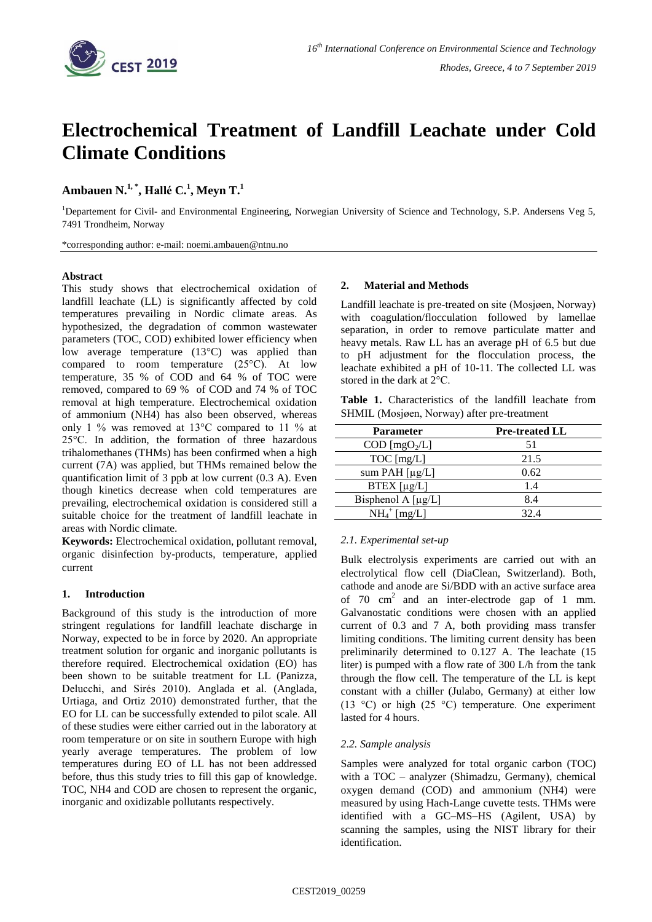

# **Electrochemical Treatment of Landfill Leachate under Cold Climate Conditions**

**Ambauen N. 1, \* , Hallé C. 1 , Meyn T. 1**

<sup>1</sup>Departement for Civil- and Environmental Engineering, Norwegian University of Science and Technology, S.P. Andersens Veg 5, 7491 Trondheim, Norway

\*corresponding author: e-mail: noemi.ambauen@ntnu.no

#### **Abstract**

This study shows that electrochemical oxidation of landfill leachate (LL) is significantly affected by cold temperatures prevailing in Nordic climate areas. As hypothesized, the degradation of common wastewater parameters (TOC, COD) exhibited lower efficiency when low average temperature (13°C) was applied than compared to room temperature (25°C). At low temperature, 35 % of COD and 64 % of TOC were removed, compared to 69 % of COD and 74 % of TOC removal at high temperature. Electrochemical oxidation of ammonium (NH4) has also been observed, whereas only 1 % was removed at 13°C compared to 11 % at 25°C. In addition, the formation of three hazardous trihalomethanes (THMs) has been confirmed when a high current (7A) was applied, but THMs remained below the quantification limit of 3 ppb at low current (0.3 A). Even though kinetics decrease when cold temperatures are prevailing, electrochemical oxidation is considered still a suitable choice for the treatment of landfill leachate in areas with Nordic climate.

**Keywords:** Electrochemical oxidation, pollutant removal, organic disinfection by-products, temperature, applied current

# **1. Introduction**

Background of this study is the introduction of more stringent regulations for landfill leachate discharge in Norway, expected to be in force by 2020. An appropriate treatment solution for organic and inorganic pollutants is therefore required. Electrochemical oxidation (EO) has been shown to be suitable treatment for LL (Panizza, Delucchi, and Sirés 2010). Anglada et al. (Anglada, Urtiaga, and Ortiz 2010) demonstrated further, that the EO for LL can be successfully extended to pilot scale. All of these studies were either carried out in the laboratory at room temperature or on site in southern Europe with high yearly average temperatures. The problem of low temperatures during EO of LL has not been addressed before, thus this study tries to fill this gap of knowledge. TOC, NH4 and COD are chosen to represent the organic, inorganic and oxidizable pollutants respectively.

# **2. Material and Methods**

Landfill leachate is pre-treated on site (Mosjøen, Norway) with coagulation/flocculation followed by lamellae separation, in order to remove particulate matter and heavy metals. Raw LL has an average pH of 6.5 but due to pH adjustment for the flocculation process, the leachate exhibited a pH of 10-11. The collected LL was stored in the dark at 2°C.

|                                             |  | <b>Table 1.</b> Characteristics of the landfill leachate from |  |  |  |  |  |
|---------------------------------------------|--|---------------------------------------------------------------|--|--|--|--|--|
| SHMIL (Mosjøen, Norway) after pre-treatment |  |                                                               |  |  |  |  |  |

| <b>Parameter</b>                    | <b>Pre-treated LL</b> |
|-------------------------------------|-----------------------|
| $\text{COD}$ [mgO <sub>2</sub> /L]  | 51                    |
| $TOC$ [mg/L]                        | 21.5                  |
| sum PAH $\lceil \mu g/L \rceil$     | 0.62                  |
| $BTEX$ [µg/L]                       | 1.4                   |
| Bisphenol A $\lceil \mu g/L \rceil$ | 8.4                   |
| $NH_4^+$ [mg/L]                     | 32.4                  |

#### *2.1. Experimental set-up*

Bulk electrolysis experiments are carried out with an electrolytical flow cell (DiaClean, Switzerland). Both, cathode and anode are Si/BDD with an active surface area of  $70 \text{ cm}^2$  and an inter-electrode gap of 1 mm. Galvanostatic conditions were chosen with an applied current of 0.3 and 7 A, both providing mass transfer limiting conditions. The limiting current density has been preliminarily determined to 0.127 A. The leachate (15 liter) is pumped with a flow rate of 300 L/h from the tank through the flow cell. The temperature of the LL is kept constant with a chiller (Julabo, Germany) at either low (13 °C) or high (25 °C) temperature. One experiment lasted for 4 hours.

#### *2*.*2. Sample analysis*

Samples were analyzed for total organic carbon (TOC) with a TOC – analyzer (Shimadzu, Germany), chemical oxygen demand (COD) and ammonium (NH4) were measured by using Hach-Lange cuvette tests. THMs were identified with a GC–MS–HS (Agilent, USA) by scanning the samples, using the NIST library for their identification.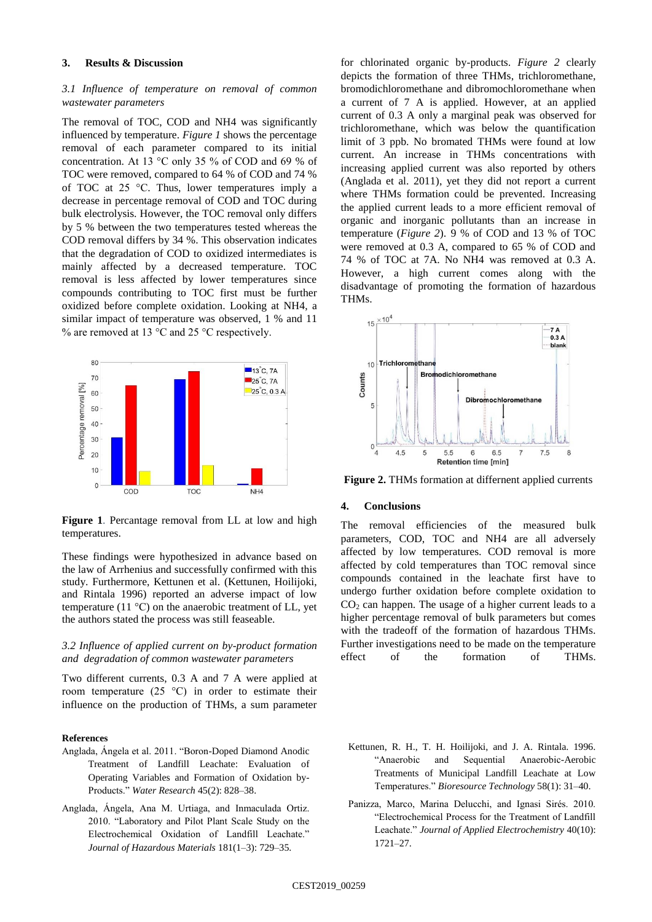## **3. Results & Discussion**

# *3.1 Influence of temperature on removal of common wastewater parameters*

The removal of TOC, COD and NH4 was significantly influenced by temperature. *[Figure 1](#page-1-0)* shows the percentage removal of each parameter compared to its initial concentration. At 13 °C only 35 % of COD and 69 % of TOC were removed, compared to 64 % of COD and 74 % of TOC at 25 °C. Thus, lower temperatures imply a decrease in percentage removal of COD and TOC during bulk electrolysis. However, the TOC removal only differs by 5 % between the two temperatures tested whereas the COD removal differs by 34 %. This observation indicates that the degradation of COD to oxidized intermediates is mainly affected by a decreased temperature. TOC removal is less affected by lower temperatures since compounds contributing to TOC first must be further oxidized before complete oxidation. Looking at NH4, a similar impact of temperature was observed, 1 % and 11 % are removed at 13 °C and 25 °C respectively.



<span id="page-1-0"></span>Figure 1. Percantage removal from LL at low and high temperatures.

These findings were hypothesized in advance based on the law of Arrhenius and successfully confirmed with this study. Furthermore, Kettunen et al. (Kettunen, Hoilijoki, and Rintala 1996) reported an adverse impact of low temperature (11 $\degree$ C) on the anaerobic treatment of LL, yet the authors stated the process was still feaseable.

# *3.2 Influence of applied current on by-product formation and degradation of common wastewater parameters*

Two different currents, 0.3 A and 7 A were applied at room temperature  $(25 \text{ °C})$  in order to estimate their influence on the production of THMs, a sum parameter

#### **References**

- Anglada, Ángela et al. 2011. "Boron-Doped Diamond Anodic Treatment of Landfill Leachate: Evaluation of Operating Variables and Formation of Oxidation by-Products." *Water Research* 45(2): 828–38.
- Anglada, Ángela, Ana M. Urtiaga, and Inmaculada Ortiz. 2010. "Laboratory and Pilot Plant Scale Study on the Electrochemical Oxidation of Landfill Leachate." *Journal of Hazardous Materials* 181(1–3): 729–35.

for chlorinated organic by-products. *[Figure 2](#page-1-1)* clearly depicts the formation of three THMs, trichloromethane, bromodichloromethane and dibromochloromethane when a current of 7 A is applied. However, at an applied current of 0.3 A only a marginal peak was observed for trichloromethane, which was below the quantification limit of 3 ppb. No bromated THMs were found at low current. An increase in THMs concentrations with increasing applied current was also reported by others (Anglada et al. 2011), yet they did not report a current where THMs formation could be prevented. Increasing the applied current leads to a more efficient removal of organic and inorganic pollutants than an increase in temperature (*[Figure 2](#page-1-1)*). 9 % of COD and 13 % of TOC were removed at 0.3 A, compared to 65 % of COD and 74 % of TOC at 7A. No NH4 was removed at 0.3 A. However, a high current comes along with the disadvantage of promoting the formation of hazardous THMs.



<span id="page-1-1"></span>**Figure 2.** THMs formation at differnent applied currents

## **4. Conclusions**

The removal efficiencies of the measured bulk parameters, COD, TOC and NH4 are all adversely affected by low temperatures. COD removal is more affected by cold temperatures than TOC removal since compounds contained in the leachate first have to undergo further oxidation before complete oxidation to  $CO<sub>2</sub>$  can happen. The usage of a higher current leads to a higher percentage removal of bulk parameters but comes with the tradeoff of the formation of hazardous THMs. Further investigations need to be made on the temperature effect of the formation of THMs.

- Kettunen, R. H., T. H. Hoilijoki, and J. A. Rintala. 1996. "Anaerobic and Sequential Anaerobic-Aerobic Treatments of Municipal Landfill Leachate at Low Temperatures." *Bioresource Technology* 58(1): 31–40.
- Panizza, Marco, Marina Delucchi, and Ignasi Sirés. 2010. "Electrochemical Process for the Treatment of Landfill Leachate." *Journal of Applied Electrochemistry* 40(10): 1721–27.